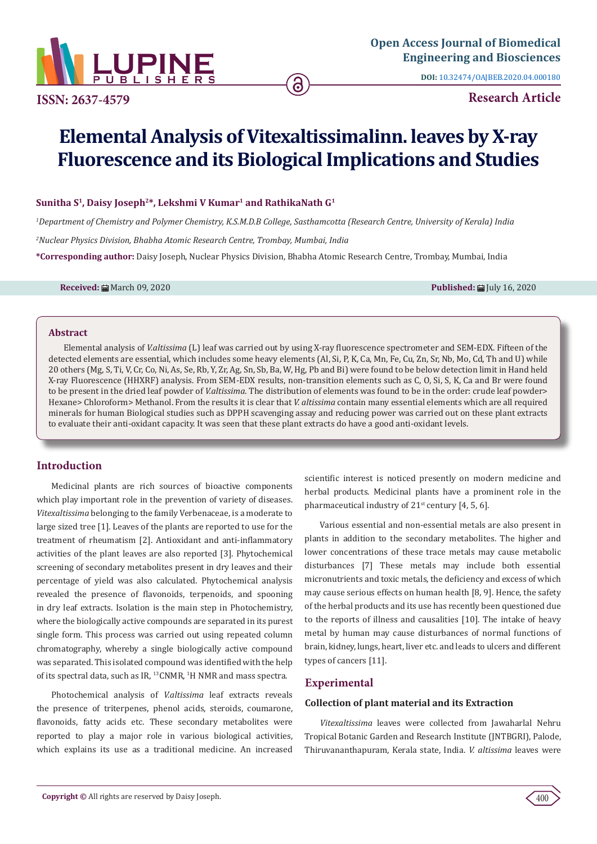

**DOI:** [10.32474/OAJBEB.2020.04.000180](http://dx.doi.org/10.32474/OAJBEB.2020.04.000180)

**ISSN: 2637-4579 Research Article**

# **Elemental Analysis of Vitexaltissimalinn. leaves by X-ray Fluorescence and its Biological Implications and Studies**

## Sunitha S<sup>1</sup>, Daisy Joseph<sup>2\*</sup>, Lekshmi V Kumar<sup>1</sup> and RathikaNath G<sup>1</sup>

*1 Department of Chemistry and Polymer Chemistry, K.S.M.D.B College, Sasthamcotta (Research Centre, University of Kerala) India*

*2 Nuclear Physics Division, Bhabha Atomic Research Centre, Trombay, Mumbai, India*

**\*Corresponding author:** Daisy Joseph, Nuclear Physics Division, Bhabha Atomic Research Centre, Trombay, Mumbai, India

**Received:** March 09, 2020 **Published:** July 16, 2020

#### **Abstract**

Elemental analysis of *V.altissima* (L) leaf was carried out by using X-ray fluorescence spectrometer and SEM-EDX. Fifteen of the detected elements are essential, which includes some heavy elements (Al, Si, P, K, Ca, Mn, Fe, Cu, Zn, Sr, Nb, Mo, Cd, Th and U) while 20 others (Mg, S, Ti, V, Cr, Co, Ni, As, Se, Rb, Y, Zr, Ag, Sn, Sb, Ba, W, Hg, Pb and Bi) were found to be below detection limit in Hand held X-ray Fluorescence (HHXRF) analysis. From SEM-EDX results, non-transition elements such as C, O, Si, S, K, Ca and Br were found to be present in the dried leaf powder of *V.altissima*. The distribution of elements was found to be in the order: crude leaf powder> Hexane> Chloroform> Methanol. From the results it is clear that *V. altissima* contain many essential elements which are all required minerals for human Biological studies such as DPPH scavenging assay and reducing power was carried out on these plant extracts to evaluate their anti-oxidant capacity. It was seen that these plant extracts do have a good anti-oxidant levels.

# **Introduction**

Medicinal plants are rich sources of bioactive components which play important role in the prevention of variety of diseases. *Vitexaltissima* belonging to the family Verbenaceae, is a moderate to large sized tree [1]. Leaves of the plants are reported to use for the treatment of rheumatism [2]. Antioxidant and anti-inflammatory activities of the plant leaves are also reported [3]. Phytochemical screening of secondary metabolites present in dry leaves and their percentage of yield was also calculated. Phytochemical analysis revealed the presence of flavonoids, terpenoids, and spooning in dry leaf extracts. Isolation is the main step in Photochemistry, where the biologically active compounds are separated in its purest single form. This process was carried out using repeated column chromatography, whereby a single biologically active compound was separated. This isolated compound was identified with the help of its spectral data, such as IR,  $^{13}$ CNMR,  $^{1}$ H NMR and mass spectra.

Photochemical analysis of *V.altissima* leaf extracts reveals the presence of triterpenes, phenol acids, steroids, coumarone, flavonoids, fatty acids etc. These secondary metabolites were reported to play a major role in various biological activities, which explains its use as a traditional medicine. An increased scientific interest is noticed presently on modern medicine and herbal products. Medicinal plants have a prominent role in the pharmaceutical industry of  $21^{st}$  century [4, 5, 6].

Various essential and non-essential metals are also present in plants in addition to the secondary metabolites. The higher and lower concentrations of these trace metals may cause metabolic disturbances [7] These metals may include both essential micronutrients and toxic metals, the deficiency and excess of which may cause serious effects on human health [8, 9]. Hence, the safety of the herbal products and its use has recently been questioned due to the reports of illness and causalities [10]. The intake of heavy metal by human may cause disturbances of normal functions of brain, kidney, lungs, heart, liver etc. and leads to ulcers and different types of cancers [11].

# **Experimental**

## **Collection of plant material and its Extraction**

*Vitexaltissima* leaves were collected from Jawaharlal Nehru Tropical Botanic Garden and Research Institute (JNTBGRI), Palode, Thiruvananthapuram, Kerala state, India. *V. altissima* leaves were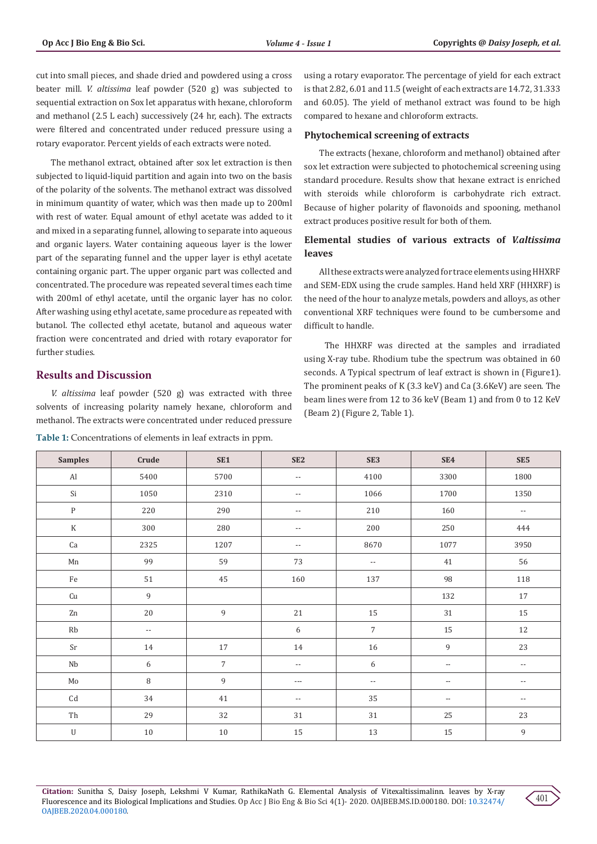cut into small pieces, and shade dried and powdered using a cross beater mill. *V. altissima* leaf powder (520 g) was subjected to sequential extraction on Sox let apparatus with hexane, chloroform and methanol (2.5 L each) successively (24 hr, each). The extracts were filtered and concentrated under reduced pressure using a rotary evaporator. Percent yields of each extracts were noted.

The methanol extract, obtained after sox let extraction is then subjected to liquid-liquid partition and again into two on the basis of the polarity of the solvents. The methanol extract was dissolved in minimum quantity of water, which was then made up to 200ml with rest of water. Equal amount of ethyl acetate was added to it and mixed in a separating funnel, allowing to separate into aqueous and organic layers. Water containing aqueous layer is the lower part of the separating funnel and the upper layer is ethyl acetate containing organic part. The upper organic part was collected and concentrated. The procedure was repeated several times each time with 200ml of ethyl acetate, until the organic layer has no color. After washing using ethyl acetate, same procedure as repeated with butanol. The collected ethyl acetate, butanol and aqueous water fraction were concentrated and dried with rotary evaporator for further studies.

## **Results and Discussion**

*V. altissima* leaf powder (520 g) was extracted with three solvents of increasing polarity namely hexane, chloroform and methanol. The extracts were concentrated under reduced pressure

**Table 1:** Concentrations of elements in leaf extracts in ppm.

using a rotary evaporator. The percentage of yield for each extract is that 2.82, 6.01 and 11.5 (weight of each extracts are 14.72, 31.333 and 60.05). The yield of methanol extract was found to be high compared to hexane and chloroform extracts.

#### **Phytochemical screening of extracts**

The extracts (hexane, chloroform and methanol) obtained after sox let extraction were subjected to photochemical screening using standard procedure. Results show that hexane extract is enriched with steroids while chloroform is carbohydrate rich extract. Because of higher polarity of flavonoids and spooning, methanol extract produces positive result for both of them.

## **Elemental studies of various extracts of** *V.altissima* **leaves**

All these extracts were analyzed for trace elements using HHXRF and SEM-EDX using the crude samples. Hand held XRF (HHXRF) is the need of the hour to analyze metals, powders and alloys, as other conventional XRF techniques were found to be cumbersome and difficult to handle.

 The HHXRF was directed at the samples and irradiated using X-ray tube. Rhodium tube the spectrum was obtained in 60 seconds. A Typical spectrum of leaf extract is shown in (Figure1). The prominent peaks of K (3.3 keV) and Ca (3.6KeV) are seen. The beam lines were from 12 to 36 keV (Beam 1) and from 0 to 12 KeV (Beam 2) (Figure 2, Table 1).

| <b>Samples</b>             | Crude                    | SE <sub>1</sub> | SE <sub>2</sub>          | SE3                      | SE4                      | SE5                      |
|----------------------------|--------------------------|-----------------|--------------------------|--------------------------|--------------------------|--------------------------|
| $\mathop{\rm Al}\nolimits$ | 5400                     | 5700            | $\overline{\phantom{a}}$ | 4100                     | 3300                     | 1800                     |
| Si                         | 1050                     | 2310            | $\overline{\phantom{a}}$ | 1066                     | 1700                     | 1350                     |
| $\, {\bf p}$               | 220                      | 290             | $\overline{\phantom{a}}$ | 210                      | 160                      | $\overline{\phantom{a}}$ |
| $\rm K$                    | 300                      | 280             | $\overline{\phantom{a}}$ | 200                      | 250                      | 444                      |
| ${\rm Ca}$                 | 2325                     | 1207            | $\overline{\phantom{a}}$ | 8670                     | 1077                     | 3950                     |
| $\mbox{Mn}$                | 99                       | 59              | 73                       | $\overline{\phantom{a}}$ | $41\,$                   | 56                       |
| $\rm Fe$                   | 51                       | $45\,$          | 160                      | 137                      | 98                       | $118\,$                  |
| Cu                         | $\overline{9}$           |                 |                          |                          | 132                      | 17                       |
| ${\rm Zn}$                 | 20                       | $\,9$           | 21                       | $15\,$                   | 31                       | $15\,$                   |
| $\mathbf{R}\mathbf{b}$     | $\overline{\phantom{a}}$ |                 | $6\,$                    | $\overline{7}$           | 15                       | $12\,$                   |
| Sr                         | 14                       | $17\,$          | 14                       | 16                       | 9                        | 23                       |
| $_{\rm Nb}$                | 6                        | $\overline{7}$  | $\overline{\phantom{a}}$ | $6\,$                    | $\overline{\phantom{a}}$ | $\overline{\phantom{a}}$ |
| $\rm Mo$                   | $\, 8$                   | $\,9$           | $\hspace{0.05cm} \ldots$ | $\overline{\phantom{a}}$ | $\overline{\phantom{m}}$ | $\overline{\phantom{a}}$ |
| $\mathop{\mathrm{Cd}}$     | 34                       | $41\,$          | $\overline{\phantom{a}}$ | 35                       | $\overline{\phantom{m}}$ | $\overline{\phantom{a}}$ |
| $\!{\rm Th}$               | 29                       | 32              | 31                       | 31                       | 25                       | 23                       |
| $\mathbf U$                | $10\,$                   | 10              | 15                       | 13                       | 15                       | $\,9$                    |

**Citation:** Sunitha S, Daisy Joseph, Lekshmi V Kumar, RathikaNath G. Elemental Analysis of Vitexaltissimalinn. leaves by X-ray Fluorescence and its Biological Implications and Studies. Op Acc J Bio Eng & Bio Sci 4(1)- 2020. OAJBEB.MS.ID.000180. DOI: [10.32474/](http://dx.doi.org/10.32474/OAJBEB.2020.04.000180) [OAJBEB.2020.04.000180.](http://dx.doi.org/10.32474/OAJBEB.2020.04.000180)

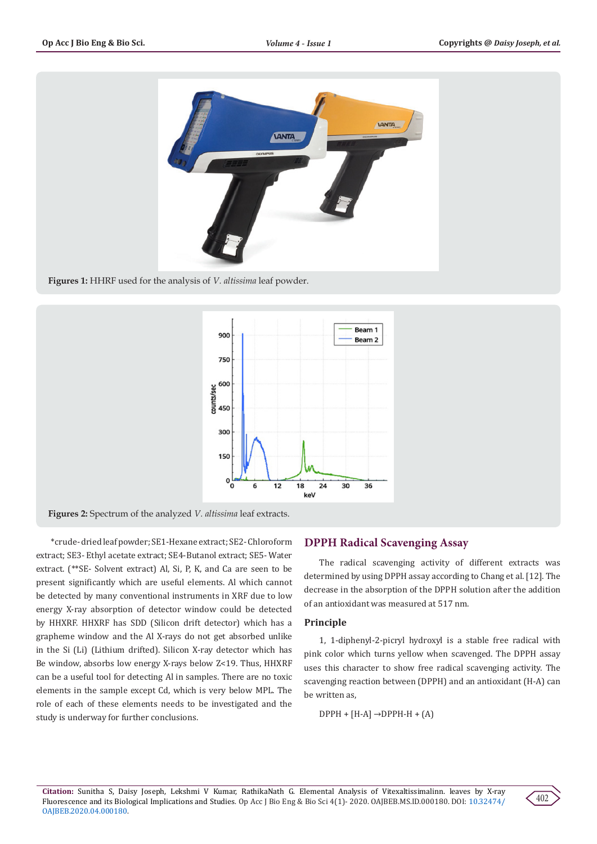

**Figures 1:** HHRF used for the analysis of *V. altissima* leaf powder.



**Figures 2:** Spectrum of the analyzed *V. altissima* leaf extracts.

\*crude- dried leaf powder; SE1-Hexane extract; SE2- Chloroform extract; SE3- Ethyl acetate extract; SE4-Butanol extract; SE5- Water extract. (\*\*SE- Solvent extract) Al, Si, P, K, and Ca are seen to be present significantly which are useful elements. Al which cannot be detected by many conventional instruments in XRF due to low energy X-ray absorption of detector window could be detected by HHXRF. HHXRF has SDD (Silicon drift detector) which has a grapheme window and the Al X-rays do not get absorbed unlike in the Si (Li) (Lithium drifted). Silicon X-ray detector which has Be window, absorbs low energy X-rays below Z<19. Thus, HHXRF can be a useful tool for detecting Al in samples. There are no toxic elements in the sample except Cd, which is very below MPL. The role of each of these elements needs to be investigated and the study is underway for further conclusions.

# **DPPH Radical Scavenging Assay**

The radical scavenging activity of different extracts was determined by using DPPH assay according to Chang et al. [12]. The decrease in the absorption of the DPPH solution after the addition of an antioxidant was measured at 517 nm.

## **Principle**

1, 1-diphenyl-2-picryl hydroxyl is a stable free radical with pink color which turns yellow when scavenged. The DPPH assay uses this character to show free radical scavenging activity. The scavenging reaction between (DPPH) and an antioxidant (H-A) can be written as,

 $DPPH + [H-A] \rightarrow DPPH-H + (A)$ 

**Citation:** Sunitha S, Daisy Joseph, Lekshmi V Kumar, RathikaNath G. Elemental Analysis of Vitexaltissimalinn. leaves by X-ray Fluorescence and its Biological Implications and Studies. Op Acc J Bio Eng & Bio Sci 4(1)- 2020. OAJBEB.MS.ID.000180. DOI: [10.32474/](http://dx.doi.org/10.32474/OAJBEB.2020.04.000180) [OAJBEB.2020.04.000180](http://dx.doi.org/10.32474/OAJBEB.2020.04.000180).

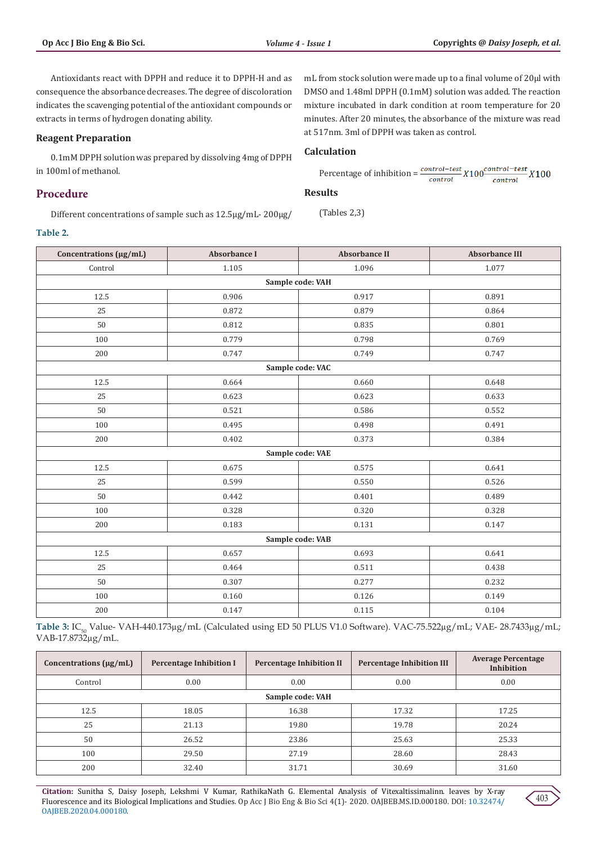Antioxidants react with DPPH and reduce it to DPPH-H and as consequence the absorbance decreases. The degree of discoloration indicates the scavenging potential of the antioxidant compounds or extracts in terms of hydrogen donating ability.

#### **Reagent Preparation**

0.1mM DPPH solution was prepared by dissolving 4mg of DPPH in 100ml of methanol.

# **Procedure**

Different concentrations of sample such as 12.5µg/mL- 200µg/

mL from stock solution were made up to a final volume of 20µl with DMSO and 1.48ml DPPH (0.1mM) solution was added. The reaction mixture incubated in dark condition at room temperature for 20 minutes. After 20 minutes, the absorbance of the mixture was read at 517nm. 3ml of DPPH was taken as control.

#### **Calculation**

Percentage of inhibition =  $\frac{control-test}{control} X100 \frac{control-test}{control} X100$ 

#### **Results**

(Tables 2,3)

#### **Table 2.**

| Concentrations (µg/mL) | <b>Absorbance I</b> | <b>Absorbance II</b> | <b>Absorbance III</b> |  |  |  |
|------------------------|---------------------|----------------------|-----------------------|--|--|--|
| Control                | 1.105               | 1.096                | 1.077                 |  |  |  |
| Sample code: VAH       |                     |                      |                       |  |  |  |
| 12.5                   | 0.906               | 0.917                | 0.891                 |  |  |  |
| 25                     | 0.872               | 0.879                | 0.864                 |  |  |  |
| 50                     | 0.812               | 0.835                | 0.801                 |  |  |  |
| 100                    | 0.779               | 0.798                | 0.769                 |  |  |  |
| 200                    | 0.747               | 0.749                | 0.747                 |  |  |  |
|                        |                     | Sample code: VAC     |                       |  |  |  |
| 12.5                   | 0.664               | 0.660                | 0.648                 |  |  |  |
| 25                     | 0.623               | 0.623                | 0.633                 |  |  |  |
| 50                     | 0.521               | 0.586                | 0.552                 |  |  |  |
| 100                    | 0.495               | 0.498                | 0.491                 |  |  |  |
| 200                    | 0.402               | 0.373                | 0.384                 |  |  |  |
|                        | Sample code: VAE    |                      |                       |  |  |  |
| 12.5                   | 0.675               | 0.575                | 0.641                 |  |  |  |
| 25                     | 0.599               | 0.550                | 0.526                 |  |  |  |
| 50                     | 0.442               | 0.401                | 0.489                 |  |  |  |
| 100                    | 0.328               | 0.320                | 0.328                 |  |  |  |
| 200                    | 0.183               | 0.131                | 0.147                 |  |  |  |
| Sample code: VAB       |                     |                      |                       |  |  |  |
| 12.5                   | 0.657               | 0.693                | 0.641                 |  |  |  |
| 25                     | 0.464               | 0.511                | 0.438                 |  |  |  |
| 50                     | 0.307               | 0.277                | 0.232                 |  |  |  |
| 100                    | 0.160               | 0.126                | 0.149                 |  |  |  |
| $200\,$                | 0.147               | 0.115                | 0.104                 |  |  |  |

Table 3: IC<sub>50</sub> Value- VAH-440.173µg/mL (Calculated using ED 50 PLUS V1.0 Software). VAC-75.522µg/mL; VAE- 28.7433µg/mL; VAB-17.8732µg/mL.

| Concentrations $(\mu g/mL)$ | <b>Percentage Inhibition I</b> | <b>Percentage Inhibition II</b> | <b>Percentage Inhibition III</b> | <b>Average Percentage</b><br>Inhibition |  |
|-----------------------------|--------------------------------|---------------------------------|----------------------------------|-----------------------------------------|--|
| Control                     | 0.00                           | 0.00                            | 0.00                             | 0.00                                    |  |
| Sample code: VAH            |                                |                                 |                                  |                                         |  |
| 12.5                        | 18.05                          | 16.38                           | 17.32                            | 17.25                                   |  |
| 25                          | 21.13                          | 19.80                           | 19.78                            | 20.24                                   |  |
| 50                          | 26.52                          | 23.86                           | 25.63                            | 25.33                                   |  |
| 100                         | 29.50                          | 27.19                           | 28.60                            | 28.43                                   |  |
| 200                         | 32.40                          | 31.71                           | 30.69                            | 31.60                                   |  |

**Citation:** Sunitha S, Daisy Joseph, Lekshmi V Kumar, RathikaNath G. Elemental Analysis of Vitexaltissimalinn. leaves by X-ray Fluorescence and its Biological Implications and Studies. Op Acc J Bio Eng & Bio Sci 4(1)- 2020. OAJBEB.MS.ID.000180. DOI: [10.32474/](http://dx.doi.org/10.32474/OAJBEB.2020.04.000180) [OAJBEB.2020.04.000180.](http://dx.doi.org/10.32474/OAJBEB.2020.04.000180)

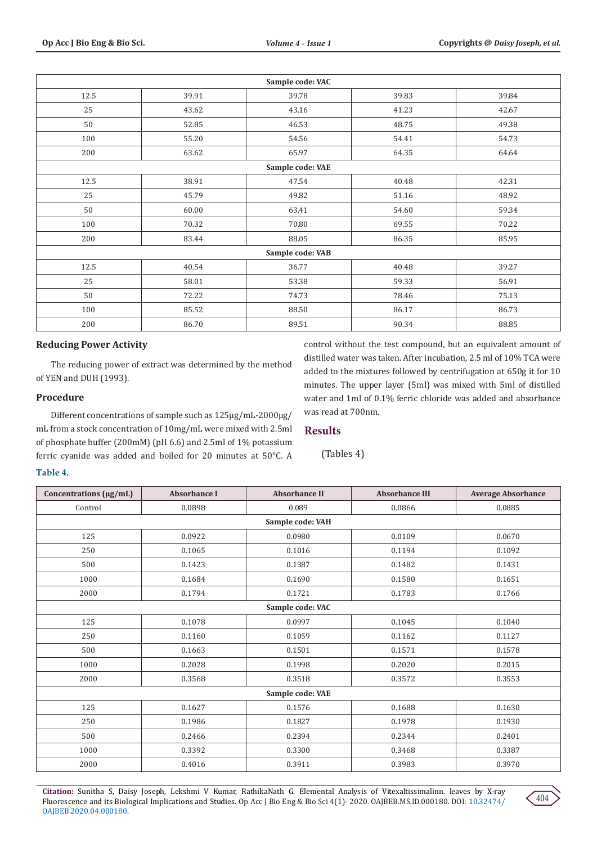| Sample code: VAC |       |                  |       |       |  |
|------------------|-------|------------------|-------|-------|--|
| 12.5             | 39.91 | 39.78            | 39.83 | 39.84 |  |
| 25               | 43.62 | 43.16            | 41.23 | 42.67 |  |
| 50               | 52.85 | 46.53            | 48.75 | 49.38 |  |
| 100              | 55.20 | 54.56            | 54.41 | 54.73 |  |
| 200              | 63.62 | 65.97            | 64.35 | 64.64 |  |
|                  |       | Sample code: VAE |       |       |  |
| 12.5             | 38.91 | 47.54            | 40.48 | 42.31 |  |
| 25               | 45.79 | 49.82            | 51.16 | 48.92 |  |
| 50               | 60.00 | 63.41            | 54.60 | 59.34 |  |
| 100              | 70.32 | 70.80            | 69.55 | 70.22 |  |
| 200              | 83.44 | 88.05            | 86.35 | 85.95 |  |
| Sample code: VAB |       |                  |       |       |  |
| 12.5             | 40.54 | 36.77            | 40.48 | 39.27 |  |
| 25               | 58.01 | 53.38            | 59.33 | 56.91 |  |
| 50               | 72.22 | 74.73            | 78.46 | 75.13 |  |
| 100              | 85.52 | 88.50            | 86.17 | 86.73 |  |
| 200              | 86.70 | 89.51            | 90.34 | 88.85 |  |

# **Reducing Power Activity**

The reducing power of extract was determined by the method of YEN and DUH (1993).

#### **Procedure**

Different concentrations of sample such as 125µg/mL-2000µg/ mL from a stock concentration of 10mg/mL were mixed with 2.5ml of phosphate buffer (200mM) (pH 6.6) and 2.5ml of 1% potassium ferric cyanide was added and boiled for 20 minutes at 50°C. A control without the test compound, but an equivalent amount of distilled water was taken. After incubation, 2.5 ml of 10% TCA were added to the mixtures followed by centrifugation at 650g it for 10 minutes. The upper layer (5ml) was mixed with 5ml of distilled water and 1ml of 0.1% ferric chloride was added and absorbance was read at 700nm.

#### **Results**

## (Tables 4)

#### **Table 4.**

| Concentrations (µg/mL) | <b>Absorbance I</b> | <b>Absorbance II</b> | <b>Absorbance III</b> | <b>Average Absorbance</b> |  |  |  |
|------------------------|---------------------|----------------------|-----------------------|---------------------------|--|--|--|
| Control                | 0.0898              | 0.089                | 0.0866                | 0.0885                    |  |  |  |
|                        | Sample code: VAH    |                      |                       |                           |  |  |  |
| 125                    | 0.0922              | 0.0980               | 0.0109                | 0.0670                    |  |  |  |
| 250                    | 0.1065              | 0.1016               | 0.1194                | 0.1092                    |  |  |  |
| 500                    | 0.1423              | 0.1387               | 0.1482                | 0.1431                    |  |  |  |
| 1000                   | 0.1684              | 0.1690               | 0.1580                | 0.1651                    |  |  |  |
| 2000                   | 0.1794              | 0.1721               | 0.1783                | 0.1766                    |  |  |  |
| Sample code: VAC       |                     |                      |                       |                           |  |  |  |
| 125                    | 0.1078              | 0.0997               | 0.1045                | 0.1040                    |  |  |  |
| 250                    | 0.1160              | 0.1059               | 0.1162                | 0.1127                    |  |  |  |
| 500                    | 0.1663              | 0.1501               | 0.1571                | 0.1578                    |  |  |  |
| 1000                   | 0.2028              | 0.1998               | 0.2020                | 0.2015                    |  |  |  |
| 2000                   | 0.3568              | 0.3518               | 0.3572                | 0.3553                    |  |  |  |
| Sample code: VAE       |                     |                      |                       |                           |  |  |  |
| 125                    | 0.1627              | 0.1576               | 0.1688                | 0.1630                    |  |  |  |
| 250                    | 0.1986              | 0.1827               | 0.1978                | 0.1930                    |  |  |  |
| 500                    | 0.2466              | 0.2394               | 0.2344                | 0.2401                    |  |  |  |
| 1000                   | 0.3392              | 0.3300               | 0.3468                | 0.3387                    |  |  |  |
| 2000                   | 0.4016              | 0.3911               | 0.3983                | 0.3970                    |  |  |  |

**Citation:** Sunitha S, Daisy Joseph, Lekshmi V Kumar, RathikaNath G. Elemental Analysis of Vitexaltissimalinn. leaves by X-ray Fluorescence and its Biological Implications and Studies. Op Acc J Bio Eng & Bio Sci 4(1)- 2020. OAJBEB.MS.ID.000180. DOI: [10.32474/](http://dx.doi.org/10.32474/OAJBEB.2020.04.000180) [OAJBEB.2020.04.000180](http://dx.doi.org/10.32474/OAJBEB.2020.04.000180).